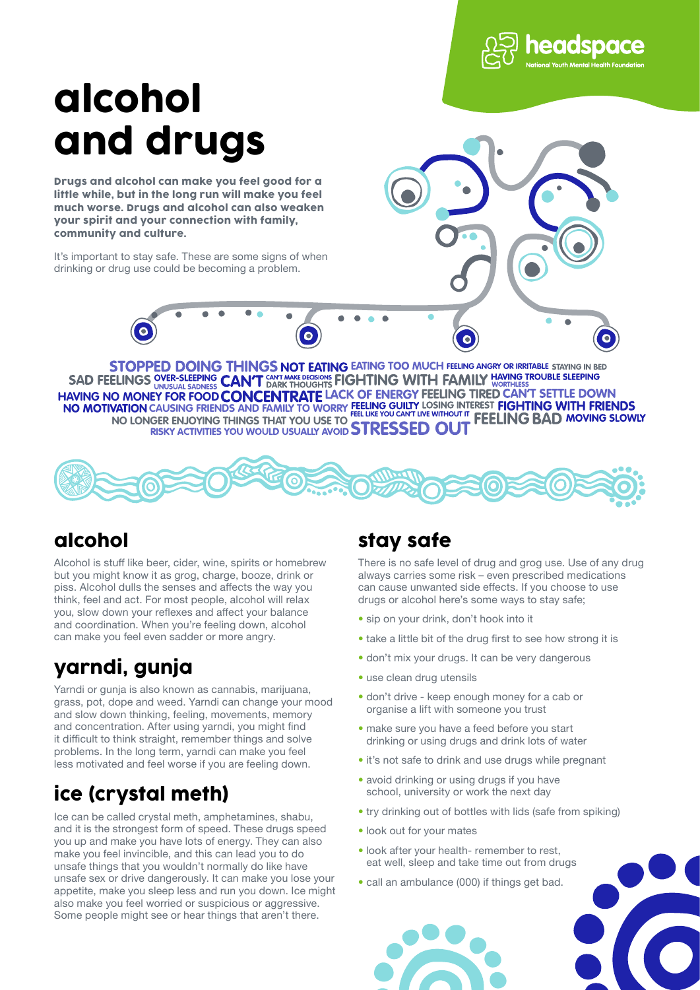

# alcohol and drugs

Drugs and alcohol can make you feel good for a little while, but in the long run will make you feel much worse. Drugs and alcohol can also weaken your spirit and your connection with family, community and culture.

It's important to stay safe. These are some signs of when drinking or drug use could be becoming a problem.



**CAUSING FRIENDS AND FAMILY TO WORRY FEELINGS DOING THINGS NOT EATING EATING TOO MUCH FEELING ANGRY OR IRRITABLE STAYING IN BED**<br>SAD FEELINGS OVER-SLEEPING CAN'T DARK THOUGHTS FIGHTING WITH FAMILY HAVING TROUBLE SLEEPING **HAVING NO MONEY FOR FOOD FEEL LIKE YOU CAN'T LIVE WITHOUT IT WAS CONSIDERED AT A LITTLE OF A LITTLE CONGIFTING THINGS THAT YOU USE TO CHANGE CONGIT AT LITTLE CONGITAL LITTLE CONGITAL AT LITTLE CONGITAL LITTLE CONGITAL AT LITTLE CONGITAL AT LITTLE** 



### alcohol

Alcohol is stuff like beer, cider, wine, spirits or homebrew but you might know it as grog, charge, booze, drink or piss. Alcohol dulls the senses and affects the way you think, feel and act. For most people, alcohol will relax you, slow down your reflexes and affect your balance and coordination. When you're feeling down, alcohol can make you feel even sadder or more angry.

# yarndi, gunja

Yarndi or gunja is also known as cannabis, marijuana, grass, pot, dope and weed. Yarndi can change your mood and slow down thinking, feeling, movements, memory and concentration. After using yarndi, you might find it difficult to think straight, remember things and solve problems. In the long term, yarndi can make you feel less motivated and feel worse if you are feeling down.

# ice (crystal meth)

Ice can be called crystal meth, amphetamines, shabu, and it is the strongest form of speed. These drugs speed you up and make you have lots of energy. They can also make you feel invincible, and this can lead you to do unsafe things that you wouldn't normally do like have unsafe sex or drive dangerously. It can make you lose your appetite, make you sleep less and run you down. Ice might also make you feel worried or suspicious or aggressive. Some people might see or hear things that aren't there.

#### stay safe

There is no safe level of drug and grog use. Use of any drug always carries some risk – even prescribed medications can cause unwanted side effects. If you choose to use drugs or alcohol here's some ways to stay safe;

- � sip on your drink, don't hook into it
- � take a little bit of the drug first to see how strong it is
- � don't mix your drugs. It can be very dangerous
- use clean drug utensils
- � don't drive keep enough money for a cab or organise a lift with someone you trust
- � make sure you have a feed before you start drinking or using drugs and drink lots of water
- � it's not safe to drink and use drugs while pregnant
- avoid drinking or using drugs if you have school, university or work the next day
- � try drinking out of bottles with lids (safe from spiking)
- � look out for your mates
- � look after your health- remember to rest, eat well, sleep and take time out from drugs
- � call an ambulance (000) if things get bad.